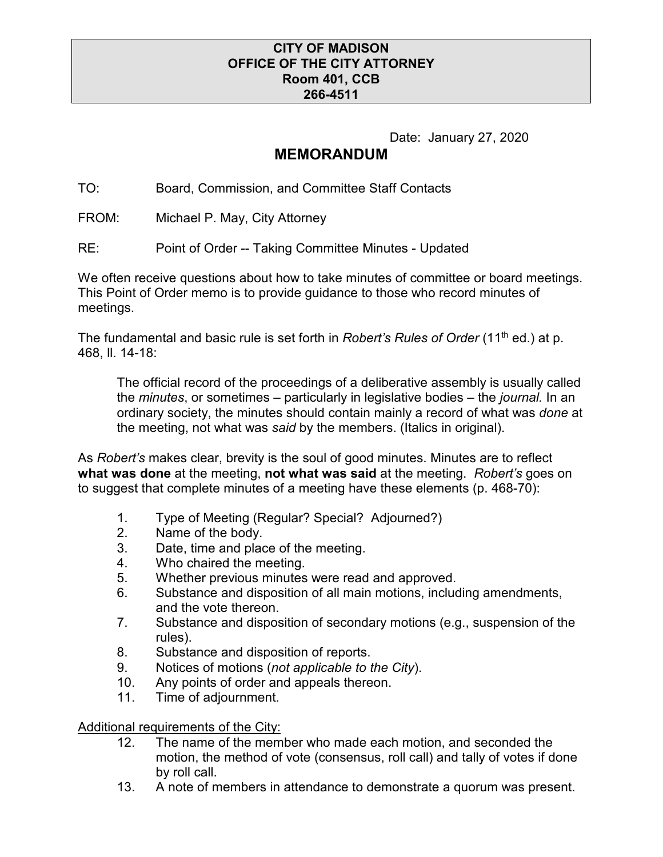## **CITY OF MADISON OFFICE OF THE CITY ATTORNEY Room 401, CCB 266-4511**

Date: January 27, 2020

## **MEMORANDUM**

TO: Board, Commission, and Committee Staff Contacts

FROM: Michael P. May, City Attorney

RE: Point of Order -- Taking Committee Minutes - Updated

We often receive questions about how to take minutes of committee or board meetings. This Point of Order memo is to provide guidance to those who record minutes of meetings.

The fundamental and basic rule is set forth in *Robert's Rules of Order* (11<sup>th</sup> ed.) at p. 468, ll. 14-18:

The official record of the proceedings of a deliberative assembly is usually called the *minutes*, or sometimes – particularly in legislative bodies – the *journal.* In an ordinary society, the minutes should contain mainly a record of what was *done* at the meeting, not what was *said* by the members. (Italics in original).

As *Robert's* makes clear, brevity is the soul of good minutes. Minutes are to reflect **what was done** at the meeting, **not what was said** at the meeting. *Robert's* goes on to suggest that complete minutes of a meeting have these elements (p. 468-70):

- 1. Type of Meeting (Regular? Special? Adjourned?)
- 2. Name of the body.<br>3. Date, time and plac
- Date, time and place of the meeting.
- 4. Who chaired the meeting.
- 5. Whether previous minutes were read and approved.
- 6. Substance and disposition of all main motions, including amendments, and the vote thereon.
- 7. Substance and disposition of secondary motions (e.g., suspension of the rules).
- 8. Substance and disposition of reports.
- 9. Notices of motions (*not applicable to the City*).
- 10. Any points of order and appeals thereon.
- 11. Time of adjournment.

Additional requirements of the City:

- 12. The name of the member who made each motion, and seconded the motion, the method of vote (consensus, roll call) and tally of votes if done by roll call.
- 13. A note of members in attendance to demonstrate a quorum was present.